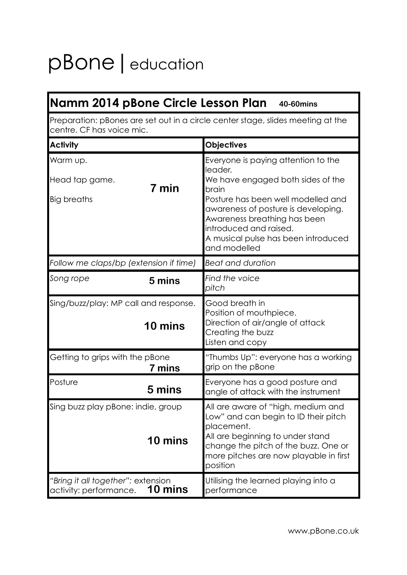# pBone | education

| Namm 2014 pBone Circle Lesson Plan 40-60mins                                                                 |                                                                                                                                                                                                                                                                                            |
|--------------------------------------------------------------------------------------------------------------|--------------------------------------------------------------------------------------------------------------------------------------------------------------------------------------------------------------------------------------------------------------------------------------------|
| Preparation: pBones are set out in a circle center stage, slides meeting at the<br>centre. CF has voice mic. |                                                                                                                                                                                                                                                                                            |
| <b>Activity</b>                                                                                              | <b>Objectives</b>                                                                                                                                                                                                                                                                          |
| Warm up.<br>Head tap game.<br>7 min<br>Big breaths                                                           | Everyone is paying attention to the<br>leader.<br>We have engaged both sides of the<br>brain<br>Posture has been well modelled and<br>awareness of posture is developing.<br>Awareness breathing has been<br>introduced and raised.<br>A musical pulse has been introduced<br>and modelled |
| Follow me claps/bp (extension if time)                                                                       | <b>Beat and duration</b>                                                                                                                                                                                                                                                                   |
| Song rope<br>5 mins                                                                                          | Find the voice<br>pitch                                                                                                                                                                                                                                                                    |
| Sing/buzz/play: MP call and response.<br>10 mins                                                             | Good breath in<br>Position of mouthpiece.<br>Direction of air/angle of attack<br>Creating the buzz<br>Listen and copy                                                                                                                                                                      |
| Getting to grips with the pBone<br>7 mins                                                                    | "Thumbs Up": everyone has a working<br>grip on the pBone                                                                                                                                                                                                                                   |
| Posture<br>5 mins                                                                                            | Everyone has a good posture and<br>angle of attack with the instrument                                                                                                                                                                                                                     |
| Sing buzz play pBone: indie, group<br>10 mins                                                                | All are aware of "high, medium and<br>Low" and can begin to ID their pitch<br>placement.<br>All are beginning to under stand<br>change the pitch of the buzz. One or<br>more pitches are now playable in first<br>position                                                                 |
| "Bring it all together": extension<br>10 mins<br>activity: performance.                                      | Utilising the learned playing into a<br>performance                                                                                                                                                                                                                                        |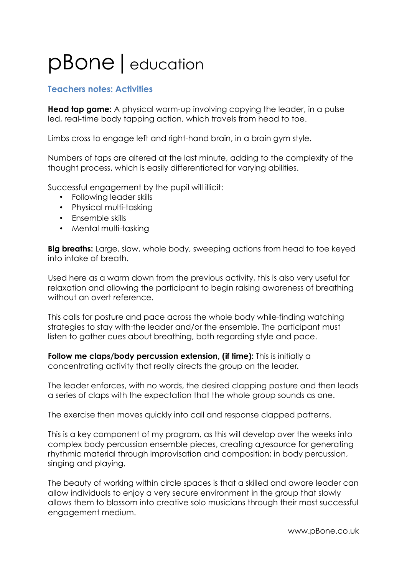## pBone | education

#### **Teachers notes: Activities**

**Head tap game:** A physical warm-up involving copying the leader, in a pulse led, real-time body tapping action, which travels from head to toe.

Limbs cross to engage left and right-hand brain, in a brain gym style.

Numbers of taps are altered at the last minute, adding to the complexity of the thought process, which is easily differentiated for varying abilities.

Successful engagement by the pupil will illicit:

- Following leader skills
- Physical multi-tasking
- Ensemble skills
- Mental multi-tasking

**Big breaths:** Large, slow, whole body, sweeping actions from head to toe keyed into intake of breath.

Used here as a warm down from the previous activity, this is also very useful for relaxation and allowing the participant to begin raising awareness of breathing without an overt reference.

This calls for posture and pace across the whole body while finding watching strategies to stay with the leader and/or the ensemble. The participant must listen to gather cues about breathing, both regarding style and pace.

**Follow me claps/body percussion extension, (if time):** This is initially a concentrating activity that really directs the group on the leader.

The leader enforces, with no words, the desired clapping posture and then leads a series of claps with the expectation that the whole group sounds as one.

The exercise then moves quickly into call and response clapped patterns.

This is a key component of my program, as this will develop over the weeks into complex body percussion ensemble pieces, creating a resource for generating rhythmic material through improvisation and composition; in body percussion, singing and playing.

The beauty of working within circle spaces is that a skilled and aware leader can allow individuals to enjoy a very secure environment in the group that slowly allows them to blossom into creative solo musicians through their most successful engagement medium.

www.pBone.co.uk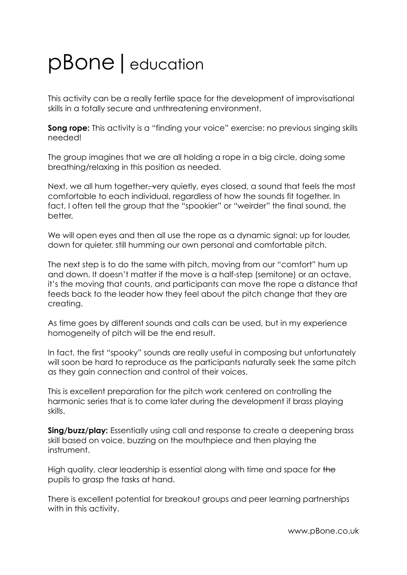### pBone|education

This activity can be a really fertile space for the development of improvisational skills in a totally secure and unthreatening environment.

**Song rope:** This activity is a "finding your voice" exercise: no previous singing skills needed!

The group imagines that we are all holding a rope in a big circle, doing some breathing/relaxing in this position as needed.

Next, we all hum together, very quietly, eyes closed, a sound that feels the most comfortable to each individual, regardless of how the sounds fit together. In fact, I often tell the group that the "spookier" or "weirder" the final sound, the better.

We will open eyes and then all use the rope as a dynamic signal: up for louder, down for quieter, still humming our own personal and comfortable pitch.

The next step is to do the same with pitch, moving from our "comfort" hum up and down. It doesn't matter if the move is a half-step (semitone) or an octave, it's the moving that counts, and participants can move the rope a distance that feeds back to the leader how they feel about the pitch change that they are creating.

As time goes by different sounds and calls can be used, but in my experience homogeneity of pitch will be the end result.

In fact, the first "spooky" sounds are really useful in composing but unfortunately will soon be hard to reproduce as the participants naturally seek the same pitch as they gain connection and control of their voices.

This is excellent preparation for the pitch work centered on controlling the harmonic series that is to come later during the development if brass playing skills.

**Sing/buzz/play:** Essentially using call and response to create a deepening brass skill based on voice, buzzing on the mouthpiece and then playing the instrument.

High quality, clear leadership is essential along with time and space for the pupils to grasp the tasks at hand.

There is excellent potential for breakout groups and peer learning partnerships with in this activity.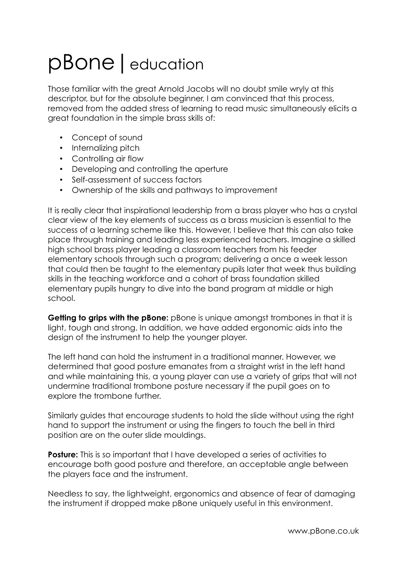## pBone|education

Those familiar with the great Arnold Jacobs will no doubt smile wryly at this descriptor, but for the absolute beginner, I am convinced that this process, removed from the added stress of learning to read music simultaneously elicits a great foundation in the simple brass skills of:

- Concept of sound
- Internalizing pitch
- Controlling air flow
- Developing and controlling the aperture
- Self-assessment of success factors
- Ownership of the skills and pathways to improvement

It is really clear that inspirational leadership from a brass player who has a crystal clear view of the key elements of success as a brass musician is essential to the success of a learning scheme like this. However, I believe that this can also take place through training and leading less experienced teachers. Imagine a skilled high school brass player leading a classroom teachers from his feeder elementary schools through such a program; delivering a once a week lesson that could then be taught to the elementary pupils later that week thus building skills in the teaching workforce and a cohort of brass foundation skilled elementary pupils hungry to dive into the band program at middle or high school.

**Getting to grips with the pBone:** pBone is unique amongst trombones in that it is light, tough and strong. In addition, we have added ergonomic aids into the design of the instrument to help the younger player.

The left hand can hold the instrument in a traditional manner. However, we determined that good posture emanates from a straight wrist in the left hand and while maintaining this, a young player can use a variety of grips that will not undermine traditional trombone posture necessary if the pupil goes on to explore the trombone further.

Similarly guides that encourage students to hold the slide without using the right hand to support the instrument or using the fingers to touch the bell in third position are on the outer slide mouldings.

**Posture:** This is so important that I have developed a series of activities to encourage both good posture and therefore, an acceptable angle between the players face and the instrument.

Needless to say, the lightweight, ergonomics and absence of fear of damaging the instrument if dropped make pBone uniquely useful in this environment.